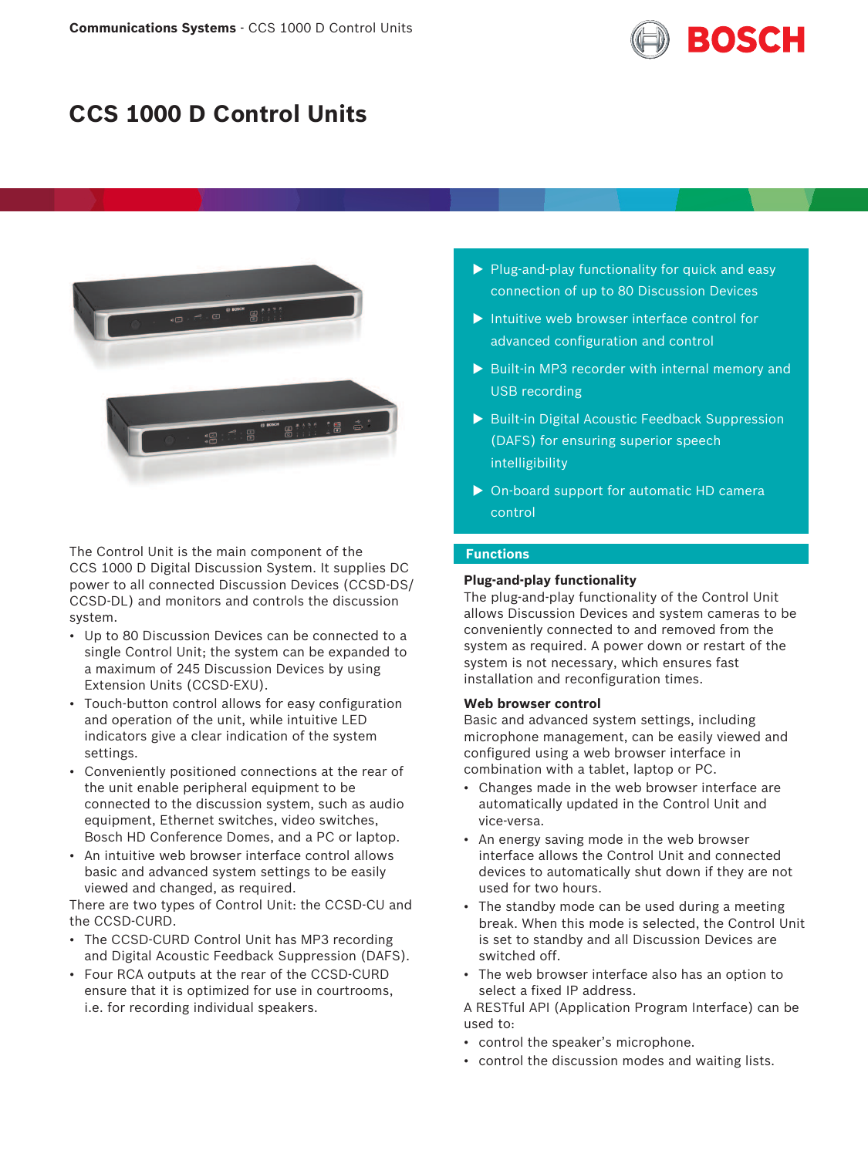

# **CCS 1000 D Control Units**



The Control Unit is the main component of the CCS 1000 D Digital Discussion System. It supplies DC power to all connected Discussion Devices (CCSD‑DS/ CCSD‑DL) and monitors and controls the discussion system.

- Up to 80 Discussion Devices can be connected to a single Control Unit; the system can be expanded to a maximum of 245 Discussion Devices by using Extension Units (CCSD‑EXU).
- Touch-button control allows for easy configuration and operation of the unit, while intuitive LED indicators give a clear indication of the system settings.
- Conveniently positioned connections at the rear of the unit enable peripheral equipment to be connected to the discussion system, such as audio equipment, Ethernet switches, video switches, Bosch HD Conference Domes, and a PC or laptop.
- An intuitive web browser interface control allows basic and advanced system settings to be easily viewed and changed, as required.

There are two types of Control Unit: the CCSD‑CU and the CCSD‑CURD.

- The CCSD-CURD Control Unit has MP3 recording and Digital Acoustic Feedback Suppression (DAFS).
- Four RCA outputs at the rear of the CCSD‑CURD ensure that it is optimized for use in courtrooms, i.e. for recording individual speakers.
- $\blacktriangleright$  Plug-and-play functionality for quick and easy connection of up to 80 Discussion Devices
- $\blacktriangleright$  Intuitive web browser interface control for advanced configuration and control
- $\triangleright$  Built-in MP3 recorder with internal memory and USB recording
- $\triangleright$  Built-in Digital Acoustic Feedback Suppression (DAFS) for ensuring superior speech intelligibility
- $\triangleright$  On-board support for automatic HD camera control

#### **Functions**

#### **Plug-and-play functionality**

The plug-and-play functionality of the Control Unit allows Discussion Devices and system cameras to be conveniently connected to and removed from the system as required. A power down or restart of the system is not necessary, which ensures fast installation and reconfiguration times.

#### **Web browser control**

Basic and advanced system settings, including microphone management, can be easily viewed and configured using a web browser interface in combination with a tablet, laptop or PC.

- Changes made in the web browser interface are automatically updated in the Control Unit and vice‑versa.
- An energy saving mode in the web browser interface allows the Control Unit and connected devices to automatically shut down if they are not used for two hours.
- The standby mode can be used during a meeting break. When this mode is selected, the Control Unit is set to standby and all Discussion Devices are switched off.
- The web browser interface also has an option to select a fixed IP address.
- A RESTful API (Application Program Interface) can be used to:
- control the speaker's microphone.
- control the discussion modes and waiting lists.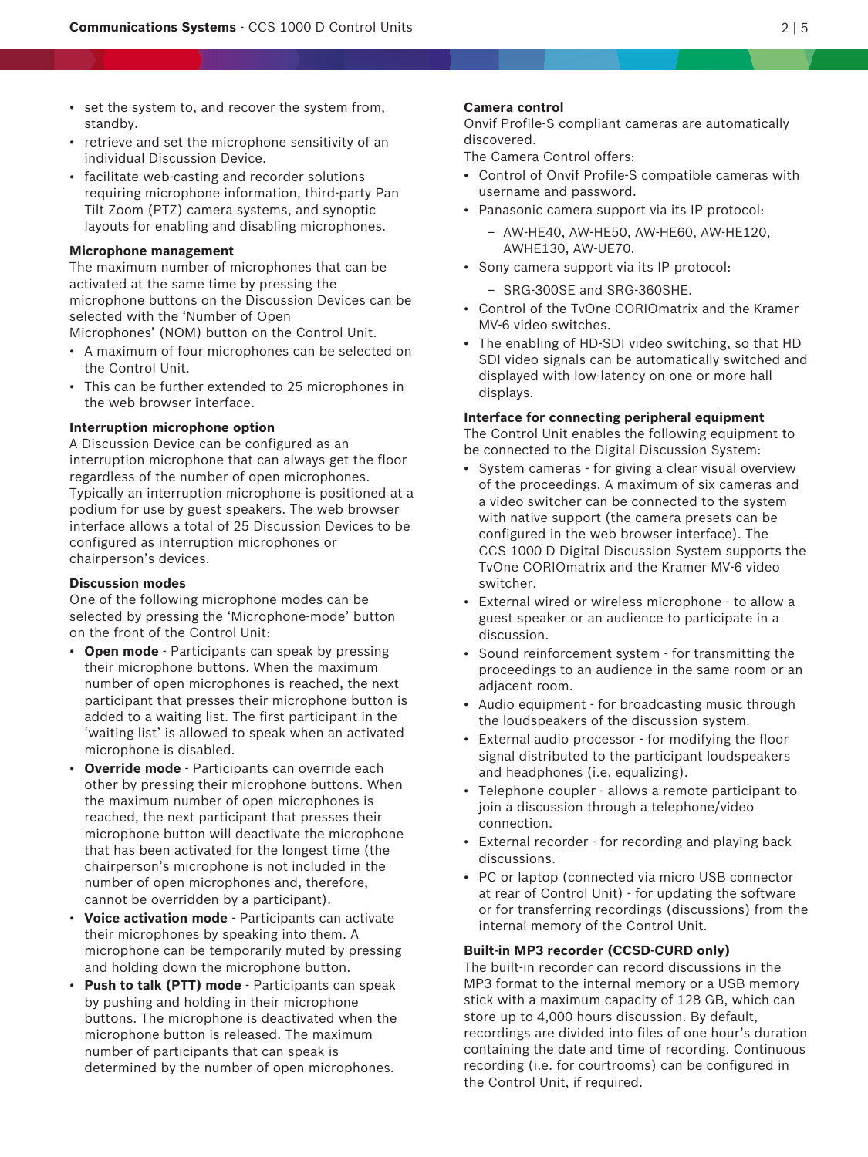- set the system to, and recover the system from, standby.
- retrieve and set the microphone sensitivity of an individual Discussion Device.
- facilitate web-casting and recorder solutions requiring microphone information, third-party Pan Tilt Zoom (PTZ) camera systems, and synoptic layouts for enabling and disabling microphones.

#### **Microphone management**

The maximum number of microphones that can be activated at the same time by pressing the microphone buttons on the Discussion Devices can be selected with the 'Number of Open

Microphones' (NOM) button on the Control Unit.

- A maximum of four microphones can be selected on the Control Unit.
- This can be further extended to 25 microphones in the web browser interface.

### **Interruption microphone option**

A Discussion Device can be configured as an interruption microphone that can always get the floor regardless of the number of open microphones. Typically an interruption microphone is positioned at a podium for use by guest speakers. The web browser interface allows a total of 25 Discussion Devices to be configured as interruption microphones or chairperson's devices.

#### **Discussion modes**

One of the following microphone modes can be selected by pressing the 'Microphone-mode' button on the front of the Control Unit:

- **Open mode** Participants can speak by pressing their microphone buttons. When the maximum number of open microphones is reached, the next participant that presses their microphone button is added to a waiting list. The first participant in the 'waiting list' is allowed to speak when an activated microphone is disabled.
- **Override mode** Participants can override each other by pressing their microphone buttons. When the maximum number of open microphones is reached, the next participant that presses their microphone button will deactivate the microphone that has been activated for the longest time (the chairperson's microphone is not included in the number of open microphones and, therefore, cannot be overridden by a participant).
- **Voice activation mode** Participants can activate their microphones by speaking into them. A microphone can be temporarily muted by pressing and holding down the microphone button.
- Push to talk (PTT) mode Participants can speak by pushing and holding in their microphone buttons. The microphone is deactivated when the microphone button is released. The maximum number of participants that can speak is determined by the number of open microphones.

#### **Camera control**

Onvif Profile-S compliant cameras are automatically discovered.

The Camera Control offers:

- Control of Onvif Profile-S compatible cameras with username and password.
- Panasonic camera support via its IP protocol:
	- AW-HE40, AW-HE50, AW-HE60, AW-HE120, AWHE130, AW-UE70.
- Sony camera support via its IP protocol:
	- SRG-300SE and SRG-360SHE.
- Control of the TvOne CORIOmatrix and the Kramer MV-6 video switches.
- The enabling of HD-SDI video switching, so that HD SDI video signals can be automatically switched and displayed with low-latency on one or more hall displays.

#### **Interface for connecting peripheral equipment**

The Control Unit enables the following equipment to be connected to the Digital Discussion System:

- System cameras for giving a clear visual overview of the proceedings. A maximum of six cameras and a video switcher can be connected to the system with native support (the camera presets can be configured in the web browser interface). The CCS 1000 D Digital Discussion System supports the TvOne CORIOmatrix and the Kramer MV-6 video switcher.
- External wired or wireless microphone to allow a guest speaker or an audience to participate in a discussion.
- Sound reinforcement system for transmitting the proceedings to an audience in the same room or an adjacent room.
- Audio equipment for broadcasting music through the loudspeakers of the discussion system.
- External audio processor for modifying the floor signal distributed to the participant loudspeakers and headphones (i.e. equalizing).
- Telephone coupler allows a remote participant to join a discussion through a telephone/video connection.
- External recorder for recording and playing back discussions.
- PC or laptop (connected via micro USB connector at rear of Control Unit) - for updating the software or for transferring recordings (discussions) from the internal memory of the Control Unit.

#### **Built-in MP3 recorder (CCSD‑CURD only)**

The built-in recorder can record discussions in the MP3 format to the internal memory or a USB memory stick with a maximum capacity of 128 GB, which can store up to 4,000 hours discussion. By default, recordings are divided into files of one hour's duration containing the date and time of recording. Continuous recording (i.e. for courtrooms) can be configured in the Control Unit, if required.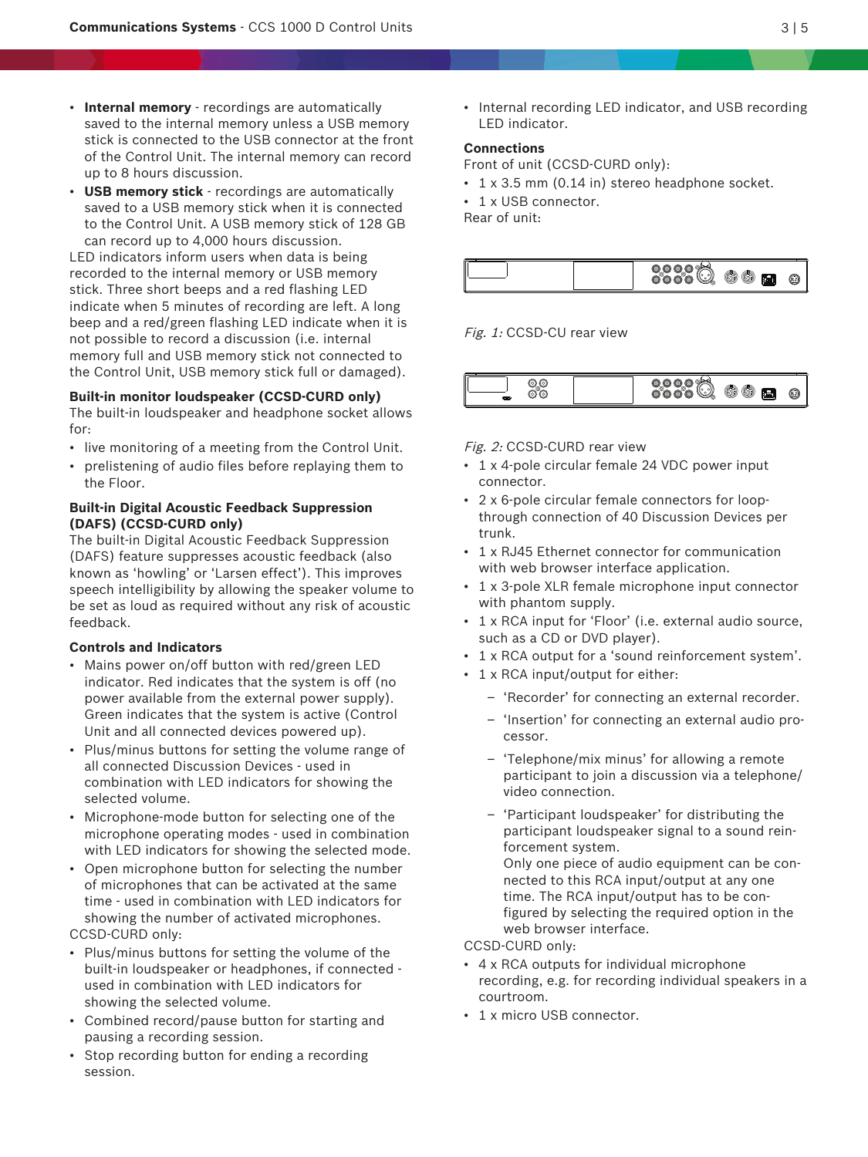- **Internal memory** recordings are automatically saved to the internal memory unless a USB memory stick is connected to the USB connector at the front of the Control Unit. The internal memory can record up to 8 hours discussion.
- **USB memory stick** recordings are automatically saved to a USB memory stick when it is connected to the Control Unit. A USB memory stick of 128 GB can record up to 4,000 hours discussion.

LED indicators inform users when data is being recorded to the internal memory or USB memory stick. Three short beeps and a red flashing LED indicate when 5 minutes of recording are left. A long beep and a red/green flashing LED indicate when it is not possible to record a discussion (i.e. internal memory full and USB memory stick not connected to the Control Unit, USB memory stick full or damaged).

#### **Built‑in monitor loudspeaker (CCSD‑CURD only)**

The built-in loudspeaker and headphone socket allows for:

- live monitoring of a meeting from the Control Unit.
- prelistening of audio files before replaying them to the Floor.

### **Built-in Digital Acoustic Feedback Suppression (DAFS) (CCSD‑CURD only)**

The built-in Digital Acoustic Feedback Suppression (DAFS) feature suppresses acoustic feedback (also known as 'howling' or 'Larsen effect'). This improves speech intelligibility by allowing the speaker volume to be set as loud as required without any risk of acoustic feedback.

#### **Controls and Indicators**

- Mains power on/off button with red/green LED indicator. Red indicates that the system is off (no power available from the external power supply). Green indicates that the system is active (Control Unit and all connected devices powered up).
- Plus/minus buttons for setting the volume range of all connected Discussion Devices - used in combination with LED indicators for showing the selected volume.
- Microphone-mode button for selecting one of the microphone operating modes - used in combination with LED indicators for showing the selected mode.
- Open microphone button for selecting the number of microphones that can be activated at the same time - used in combination with LED indicators for showing the number of activated microphones. CCSD‑CURD only:

- Plus/minus buttons for setting the volume of the built-in loudspeaker or headphones, if connected used in combination with LED indicators for showing the selected volume.
- Combined record/pause button for starting and pausing a recording session.
- Stop recording button for ending a recording session.

• Internal recording LED indicator, and USB recording LED indicator.

### **Connections**

Front of unit (CCSD‑CURD only):

- 1 x 3.5 mm (0.14 in) stereo headphone socket.
- 1 x USB connector.

Rear of unit:



Fig. 1: CCSD-CU rear view



#### Fig. 2: CCSD-CURD rear view

- 1 x 4‑pole circular female 24 VDC power input connector.
- 2 x 6‑pole circular female connectors for loopthrough connection of 40 Discussion Devices per trunk.
- 1 x RJ45 Ethernet connector for communication with web browser interface application.
- 1 x 3-pole XLR female microphone input connector with phantom supply.
- 1 x RCA input for 'Floor' (i.e. external audio source, such as a CD or DVD player).
- 1 x RCA output for a 'sound reinforcement system'.
- 1 x RCA input/output for either:
	- 'Recorder' for connecting an external recorder.
	- 'Insertion' for connecting an external audio processor.
	- 'Telephone/mix minus' for allowing a remote participant to join a discussion via a telephone/ video connection.
	- 'Participant loudspeaker' for distributing the participant loudspeaker signal to a sound reinforcement system. Only one piece of audio equipment can be connected to this RCA input/output at any one time. The RCA input/output has to be configured by selecting the required option in the web browser interface.

CCSD‑CURD only:

- 4 x RCA outputs for individual microphone recording, e.g. for recording individual speakers in a courtroom.
- 1 x micro USB connector.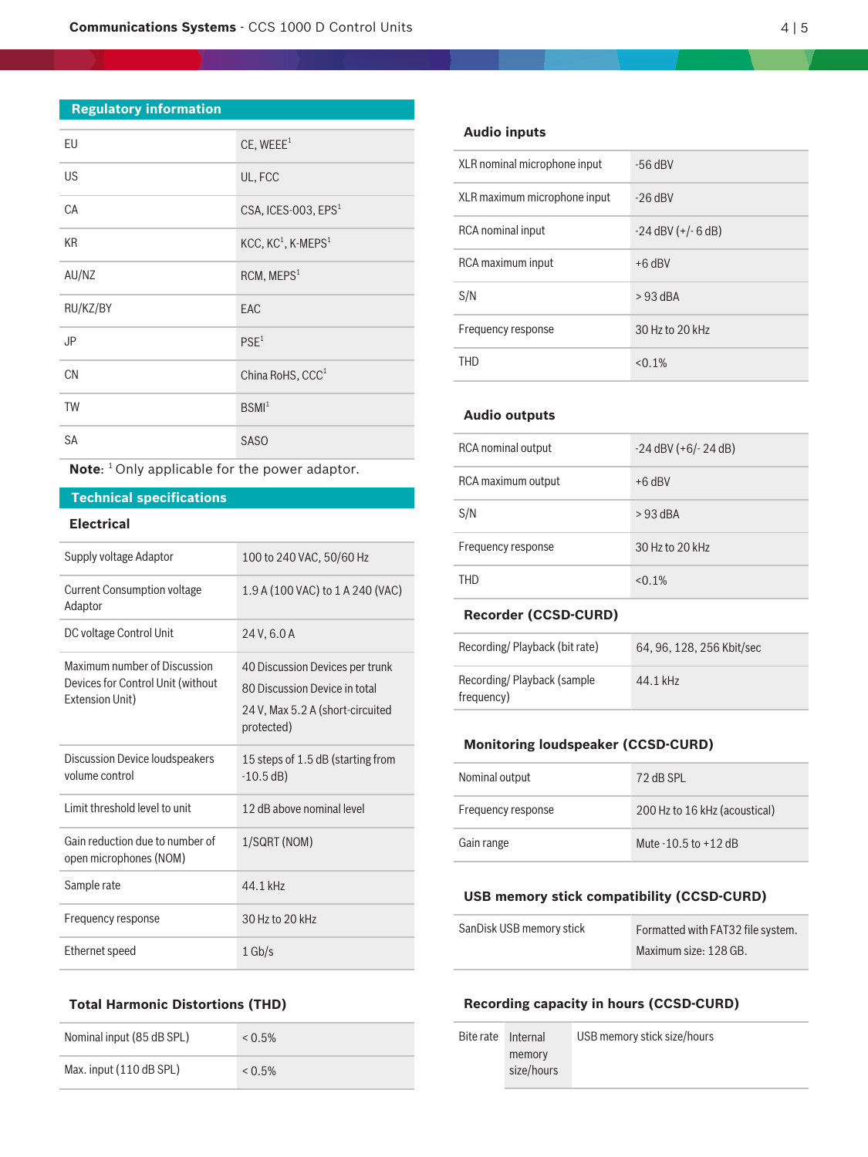# **Regulatory information**

| EU        | CE, WEEE <sup>1</sup>                      |
|-----------|--------------------------------------------|
| US        | UL, FCC                                    |
| CA        | CSA, ICES-003, EPS <sup>1</sup>            |
| <b>KR</b> | KCC, KC <sup>1</sup> , K-MEPS <sup>1</sup> |
| AU/NZ     | RCM, MEPS <sup>1</sup>                     |
| RU/KZ/BY  | EAC                                        |
| <b>JP</b> | PSE <sup>1</sup>                           |
| <b>CN</b> | China RoHS, CCC <sup>1</sup>               |
| <b>TW</b> | BSMI <sup>1</sup>                          |
| <b>SA</b> | <b>SASO</b>                                |

**Note:** <sup>1</sup> Only applicable for the power adaptor.

# **Technical specifications**

# **Electrical**

| Supply voltage Adaptor                                                               | 100 to 240 VAC, 50/60 Hz                                                                                           |
|--------------------------------------------------------------------------------------|--------------------------------------------------------------------------------------------------------------------|
| <b>Current Consumption voltage</b><br>Adaptor                                        | 1.9 A (100 VAC) to 1 A 240 (VAC)                                                                                   |
| DC voltage Control Unit                                                              | 24 V, 6, 0 A                                                                                                       |
| Maximum number of Discussion<br>Devices for Control Unit (without<br>Extension Unit) | 40 Discussion Devices per trunk<br>80 Discussion Device in total<br>24 V, Max 5.2 A (short-circuited<br>protected) |
| Discussion Device loudspeakers<br>volume control                                     | 15 steps of 1.5 dB (starting from<br>$-10.5$ dB)                                                                   |
| Limit threshold level to unit                                                        | 12 dB above nominal level                                                                                          |
| Gain reduction due to number of<br>open microphones (NOM)                            | 1/SQRT (NOM)                                                                                                       |
| Sample rate                                                                          | 44.1 kHz                                                                                                           |
| Frequency response                                                                   | 30 Hz to 20 kHz                                                                                                    |
| Ethernet speed                                                                       | $1$ Gb/s                                                                                                           |

# **Total Harmonic Distortions (THD)**

| Nominal input (85 dB SPL) | $< 0.5\%$ |
|---------------------------|-----------|
| Max. input (110 dB SPL)   | $< 0.5\%$ |

# **Audio inputs**

| XLR nominal microphone input | $-56$ dBV              |
|------------------------------|------------------------|
| XLR maximum microphone input | $-26$ dBV              |
| RCA nominal input            | $-24$ dBV $(+/- 6$ dB) |
| RCA maximum input            | $+6$ dBV               |
| S/N                          | $>93$ dBA              |
| Frequency response           | 30 Hz to 20 kHz        |
| THD                          | $< 0.1\%$              |

#### **Audio outputs**

| RCA nominal output                        | $-24$ dBV ( $+6/- 24$ dB) |  |
|-------------------------------------------|---------------------------|--|
| RCA maximum output                        | $+6$ dBV                  |  |
| S/N                                       | $>93$ dBA                 |  |
| Frequency response                        | 30 Hz to 20 kHz           |  |
| THD                                       | $< 0.1\%$                 |  |
| <b>Recorder (CCSD-CURD)</b>               |                           |  |
| Recording/Playback (bit rate)             | 64, 96, 128, 256 Kbit/sec |  |
| Recording/Playback (sample)<br>frequency) | 44.1 kHz                  |  |

### **Monitoring loudspeaker (CCSD‑CURD)**

| Nominal output     | 72 dB SPL                     |
|--------------------|-------------------------------|
| Frequency response | 200 Hz to 16 kHz (acoustical) |
| Gain range         | Mute $-10.5$ to $+12$ dB      |

## **USB memory stick compatibility (CCSD‑CURD)**

| SanDisk USB memory stick | Formatted with FAT32 file system. |
|--------------------------|-----------------------------------|
|                          | Maximum size: 128 GB.             |

# **Recording capacity in hours (CCSD‑CURD)**

| Bite rate Internal |            | USB memory stick size/hours |
|--------------------|------------|-----------------------------|
|                    | memory     |                             |
|                    | size/hours |                             |